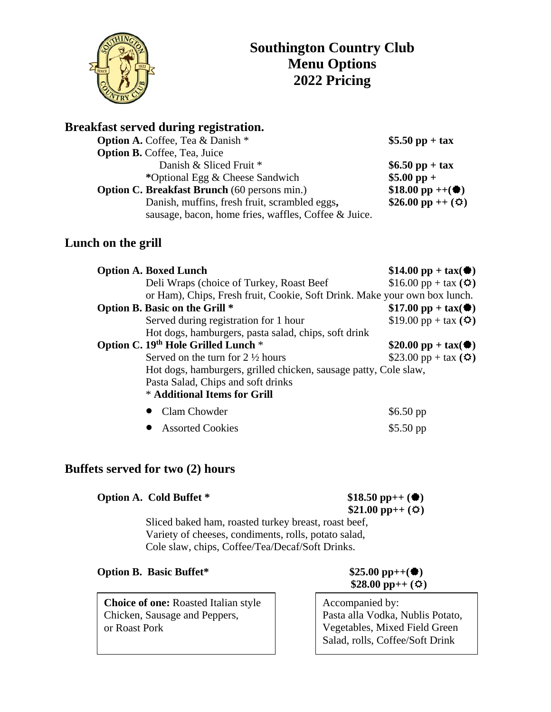

# **Breakfast served during registration.**

| <b>Option A.</b> Coffee, Tea & Danish *              | \$5.50 pp + tax                 |
|------------------------------------------------------|---------------------------------|
| <b>Option B.</b> Coffee, Tea, Juice                  |                                 |
| Danish & Sliced Fruit *                              | \$6.50 pp + tax                 |
| *Optional Egg & Cheese Sandwich                      | $$5.00$ pp +                    |
| <b>Option C. Breakfast Brunch</b> (60 persons min.)  | \$18.00 pp ++ $(\bullet)$       |
| Danish, muffins, fresh fruit, scrambled eggs,        | \$26.00 pp ++ $(\hat{\varphi})$ |
| sausage, bacon, home fries, waffles, Coffee & Juice. |                                 |

## **Lunch on the grill**

| <b>Option A. Boxed Lunch</b>                                              | $$14.00 pp + tax($                          |
|---------------------------------------------------------------------------|---------------------------------------------|
| Deli Wraps (choice of Turkey, Roast Beef                                  | $$16.00 pp + tax (4)$                       |
| or Ham), Chips, Fresh fruit, Cookie, Soft Drink. Make your own box lunch. |                                             |
| Option B. Basic on the Grill *                                            | $$17.00 \text{ pp} + \text{tax}(\clubsuit)$ |
| Served during registration for 1 hour                                     | \$19.00 pp + tax $($ $\bullet$ $)$          |
| Hot dogs, hamburgers, pasta salad, chips, soft drink                      |                                             |
| Option C. 19th Hole Grilled Lunch *                                       | $$20.00$ pp + tax( $\bullet$ )              |
| Served on the turn for $2 \frac{1}{2}$ hours                              | \$23.00 pp + tax $(\Phi)$                   |
| Hot dogs, hamburgers, grilled chicken, sausage patty, Cole slaw,          |                                             |
| Pasta Salad, Chips and soft drinks                                        |                                             |
| * Additional Items for Grill                                              |                                             |
| Clam Chowder                                                              | $$6.50$ pp                                  |
| <b>Assorted Cookies</b>                                                   | $$5.50$ pp                                  |

## **Buffets served for two (2) hours**

| Option A. Cold Buffet *                                                                                                                                         | \$18.50 pp++ $(\bullet)$<br>\$21.00 pp++ $(\Phi)$ |
|-----------------------------------------------------------------------------------------------------------------------------------------------------------------|---------------------------------------------------|
| Sliced baked ham, roasted turkey breast, roast beef,<br>Variety of cheeses, condiments, rolls, potato salad,<br>Cole slaw, chips, Coffee/Tea/Decaf/Soft Drinks. |                                                   |
| <b>Option B. Basic Buffet*</b>                                                                                                                                  | $$25.00$ pp++( $\bullet$ )                        |

**Choice of one:** Roasted Italian style Chicken, Sausage and Peppers, or Roast Pork

 $$28.00$  pp++ ( $\circledcirc$ )

Accompanied by: Pasta alla Vodka, Nublis Potato, Vegetables, Mixed Field Green Salad, rolls, Coffee/Soft Drink